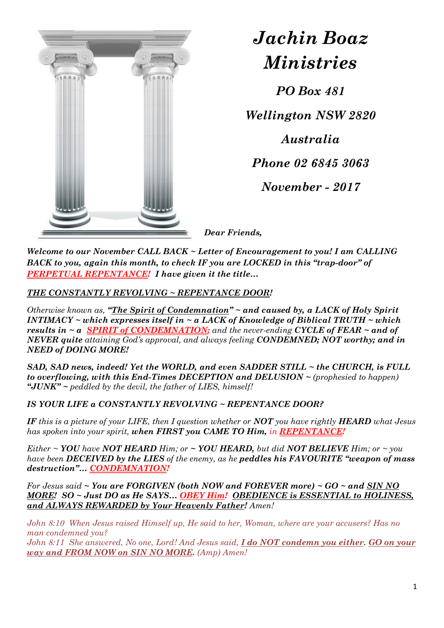

*Jachin Boaz Ministries*

*PO Box 481*

*Wellington NSW 2820*

*Australia*

*Phone 02 6845 3063*

*November - 2017*

*Dear Friends,*

*Welcome to our November CALL BACK ~ Letter of Encouragement to you! I am CALLING BACK to you, again this month, to check IF you are LOCKED in this "trap-door" of PERPETUAL REPENTANCE! I have given it the title…*

*THE CONSTANTLY REVOLVING ~ REPENTANCE DOOR!*

*Otherwise known as, "The Spirit of Condemnation" ~ and caused by, a LACK of Holy Spirit INTIMACY ~ which expresses itself in ~ a LACK of Knowledge of Biblical TRUTH ~ which results in ~ a SPIRIT of CONDEMNATION; and the never-ending CYCLE of FEAR ~ and of NEVER quite attaining God's approval, and always feeling CONDEMNED; NOT worthy; and in NEED of DOING MORE!* 

*SAD, SAD news, indeed! Yet the WORLD, and even SADDER STILL ~ the CHURCH, is FULL to overflowing, with this End-Times DECEPTION and DELUSION ~ (prophesied to happen) "JUNK" ~ peddled by the devil, the father of LIES, himself!*

*IS YOUR LIFE a CONSTANTLY REVOLVING ~ REPENTANCE DOOR?*

*IF this is a picture of your LIFE, then I question whether or NOT you have rightly HEARD what Jesus has spoken into your spirit, when FIRST you CAME TO Him, in REPENTANCE!*

*Either ~ YOU have NOT HEARD Him; or ~ YOU HEARD, but did NOT BELIEVE Him; or ~ you have been DECEIVED by the LIES of the enemy, as he peddles his FAVOURITE "weapon of mass destruction"… CONDEMNATION!*

*For Jesus said ~ You are FORGIVEN (both NOW and FOREVER more) ~ GO ~ and SIN NO MORE! SO ~ Just DO as He SAYS… OBEY Him! OBEDIENCE is ESSENTIAL to HOLINESS, and ALWAYS REWARDED by Your Heavenly Father! Amen!*

*John 8:10 When Jesus raised Himself up, He said to her, Woman, where are your accusers? Has no man condemned you?* 

*John 8:11 She answered, No one, Lord! And Jesus said, I do NOT condemn you either. GO on your way and FROM NOW on SIN NO MORE. (Amp) Amen!*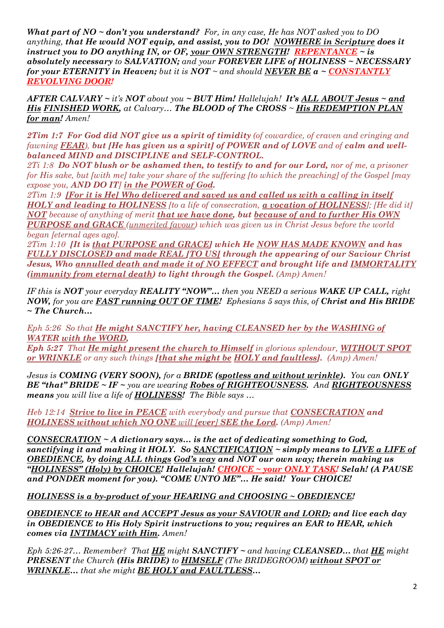*What part of NO ~ don't you understand? For, in any case, He has NOT asked you to DO anything, that He would NOT equip, and assist, you to DO! NOWHERE in Scripture does it instruct you to DO anything IN, or OF, your OWN STRENGTH! REPENTANCE ~ is absolutely necessary to SALVATION; and your FOREVER LIFE of HOLINESS ~ NECESSARY for your ETERNITY in Heaven; but it is NOT ~ and should NEVER BE a ~ CONSTANTLY REVOLVING DOOR!*

*AFTER CALVARY ~ it's NOT about you ~ BUT Him! Hallelujah! It's ALL ABOUT Jesus ~ and His FINISHED WORK, at Calvary… The BLOOD of The CROSS ~ His REDEMPTION PLAN for man! Amen!*

*2Tim 1:7 For God did NOT give us a spirit of timidity (of cowardice, of craven and cringing and fawning FEAR), but [He has given us a spirit] of POWER and of LOVE and of calm and wellbalanced MIND and DISCIPLINE and SELF-CONTROL.* 

*2Ti 1:8 Do NOT blush or be ashamed then, to testify to and for our Lord, nor of me, a prisoner for His sake, but [with me] take your share of the suffering [to which the preaching] of the Gospel [may expose you, AND DO IT] in the POWER of God.*

*2Tim 1:9 [For it is He] Who delivered and saved us and called us with a calling in itself HOLY and leading to HOLINESS [to a life of consecration, a vocation of HOLINESS]; [He did it] NOT because of anything of merit that we have done, but because of and to further His OWN PURPOSE and GRACE (unmerited favour) which was given us in Christ Jesus before the world began [eternal ages ago].* 

*2Tim 1:10 [It is that PURPOSE and GRACE] which He NOW HAS MADE KNOWN and has FULLY DISCLOSED and made REAL [TO US] through the appearing of our Saviour Christ Jesus, Who annulled death and made it of NO EFFECT and brought life and IMMORTALITY (immunity from eternal death) to light through the Gospel. (Amp) Amen!*

*IF this is NOT your everyday REALITY "NOW"… then you NEED a serious WAKE UP CALL, right NOW, for you are FAST running OUT OF TIME! Ephesians 5 says this, of Christ and His BRIDE ~ The Church…*

*Eph 5:26 So that He might SANCTIFY her, having CLEANSED her by the WASHING of WATER with the WORD,*

*Eph 5:27 That He might present the church to Himself in glorious splendour, WITHOUT SPOT or WRINKLE or any such things [that she might be HOLY and faultless]. (Amp) Amen!*

*Jesus is COMING (VERY SOON), for a BRIDE (spotless and without wrinkle). You can ONLY BE "that" BRIDE ~ IF ~ you are wearing Robes of RIGHTEOUSNESS. And RIGHTEOUSNESS means you will live a life of HOLINESS! The Bible says …*

*Heb 12:14 Strive to live in PEACE with everybody and pursue that CONSECRATION and HOLINESS without which NO ONE will [ever] SEE the Lord. (Amp) Amen!*

*CONSECRATION ~ A dictionary says… is the act of dedicating something to God, sanctifying it and making it HOLY. So SANCTIFICATION ~ simply means to LIVE a LIFE of OBEDIENCE, by doing ALL things God's way and NOT our own way; therein making us "HOLINESS" (Holy) by CHOICE! Hallelujah! CHOICE ~ your ONLY TASK! Selah! (A PAUSE and PONDER moment for you). "COME UNTO ME"… He said! Your CHOICE!*

*HOLINESS is a by-product of your HEARING and CHOOSING ~ OBEDIENCE!*

*OBEDIENCE to HEAR and ACCEPT Jesus as your SAVIOUR and LORD; and live each day in OBEDIENCE to His Holy Spirit instructions to you; requires an EAR to HEAR, which comes via INTIMACY with Him. Amen!* 

*Eph 5:26-27… Remember? That*  $H\!E$  *might SANCTIFY ~ and having CLEANSED… that*  $H\!E$  *might PRESENT the Church (His BRIDE) to HIMSELF (The BRIDEGROOM) without SPOT or WRINKLE… that she might BE HOLY and FAULTLESS…*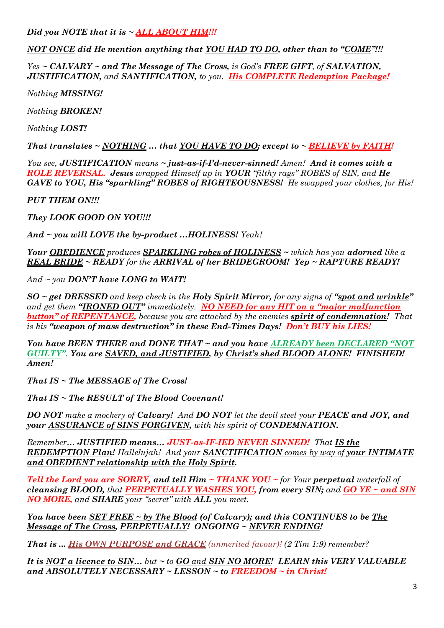*Did you NOTE that it is ~ ALL ABOUT HIM!!!*

*NOT ONCE did He mention anything that YOU HAD TO DO, other than to "COME"!!!*

*Yes ~ CALVARY ~ and The Message of The Cross, is God's FREE GIFT, of SALVATION, JUSTIFICATION, and SANTIFICATION, to you. His COMPLETE Redemption Package!*

*Nothing MISSING!*

*Nothing BROKEN!*

*Nothing LOST!* 

*That translates ~ NOTHING … that YOU HAVE TO DO; except to ~ BELIEVE by FAITH!*

*You see, JUSTIFICATION means ~ just-as-if-I'd-never-sinned! Amen! And it comes with a ROLE REVERSAL. Jesus wrapped Himself up in YOUR "filthy rags" ROBES of SIN, and He GAVE to YOU, His "sparkling" ROBES of RIGHTEOUSNESS! He swapped your clothes, for His!*

*PUT THEM ON!!!* 

*They LOOK GOOD ON YOU!!!* 

*And ~ you will LOVE the by-product …HOLINESS! Yeah!*

*Your OBEDIENCE produces SPARKLING robes of HOLINESS ~ which has you adorned like a REAL BRIDE ~ READY for the ARRIVAL of her BRIDEGROOM! Yep ~ RAPTURE READY!*

*And ~ you DON'T have LONG to WAIT!*

*SO ~ get DRESSED and keep check in the Holy Spirit Mirror, for any signs of "spot and wrinkle" and get them "IRONED OUT" immediately. NO NEED for any HIT on a "major malfunction button" of REPENTANCE, because you are attacked by the enemies spirit of condemnation! That is his "weapon of mass destruction" in these End-Times Days! Don't BUY his LIES!*

*You have BEEN THERE and DONE THAT ~ and you have ALREADY been DECLARED "NOT GUILTY". You are SAVED, and JUSTIFIED, by Christ's shed BLOOD ALONE! FINISHED! Amen!* 

*That IS ~ The MESSAGE of The Cross!* 

*That IS ~ The RESULT of The Blood Covenant!* 

*DO NOT make a mockery of Calvary! And DO NOT let the devil steel your PEACE and JOY, and your ASSURANCE of SINS FORGIVEN, with his spirit of CONDEMNATION.*

*Remember… JUSTIFIED means… JUST-as-IF-IED NEVER SINNED! That IS the REDEMPTION Plan! Hallelujah! And your SANCTIFICATION comes by way of your INTIMATE and OBEDIENT relationship with the Holy Spirit.*

*Tell the Lord you are SORRY, and tell Him ~ THANK YOU ~ for Your perpetual waterfall of cleansing BLOOD, that PERPETUALLY WASHES YOU, from every SIN; and GO YE ~ and SIN NO MORE, and SHARE your "secret" with ALL you meet.* 

*You have been SET FREE ~ by The Blood (of Calvary); and this CONTINUES to be The Message of The Cross, PERPETUALLY! ONGOING ~ NEVER ENDING!*

*That is ... His OWN PURPOSE and GRACE (unmerited favour)! (2 Tim 1:9) remember?*

*It is NOT a licence to SIN… but ~ to GO and SIN NO MORE! LEARN this VERY VALUABLE and ABSOLUTELY NECESSARY ~ LESSON ~ to FREEDOM ~ in Christ!*